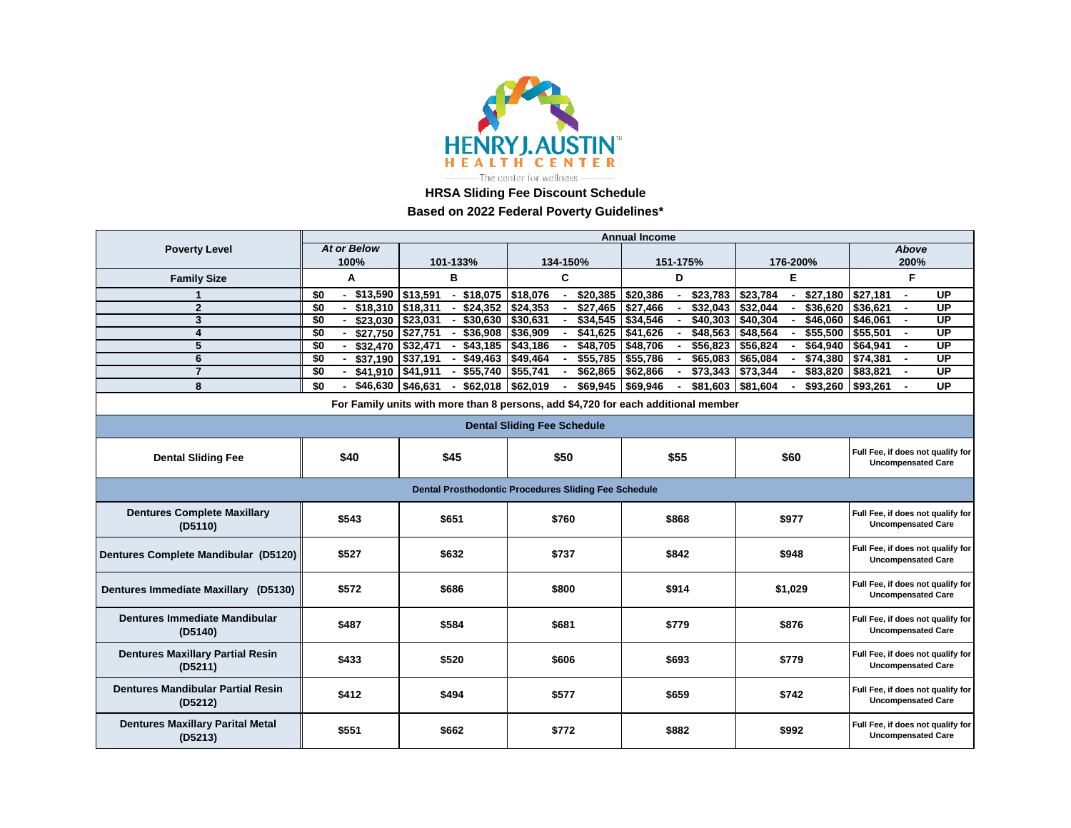

**HRSA Sliding Fee Discount Schedule**

**Based on 2022 Federal Poverty Guidelines\***

|                                                                                   | <b>Annual Income</b>           |                                           |                      |                                |                      |                                                                |  |
|-----------------------------------------------------------------------------------|--------------------------------|-------------------------------------------|----------------------|--------------------------------|----------------------|----------------------------------------------------------------|--|
| <b>Poverty Level</b>                                                              | <b>At or Below</b>             |                                           |                      |                                |                      | Above                                                          |  |
|                                                                                   | 100%                           | 101-133%                                  | 134-150%             | 151-175%                       | 176-200%             | 200%                                                           |  |
| <b>Family Size</b>                                                                | A                              | в                                         | C                    | D                              | Е                    | F                                                              |  |
|                                                                                   | $-$ \$13,590 \$13,591<br>\$0   | $-$ \$18,075                              | \$18,076<br>\$20,385 | \$23,783<br>\$20,386           | \$27,180<br>\$23,784 | <b>UP</b><br>\$27,181<br>$\blacksquare$                        |  |
| $\overline{2}$                                                                    | \$0<br>$-$ \$18,310 \$18,311   | \$24.352<br>$\blacksquare$                | \$24,353<br>\$27,465 | \$27,466<br>\$32.043           | \$32.044<br>\$36.620 | \$36,621<br>UP                                                 |  |
| 3                                                                                 | \$0<br>$-$ \$23,030   \$23,031 | \$30,630<br>$\blacksquare$                | \$30,631<br>\$34,545 | \$34,546<br>\$40,303           | \$40,304<br>\$46,060 | \$46,061<br>$\overline{UP}$                                    |  |
| 4                                                                                 | $-$ \$27,750   \$27,751<br>\$0 | \$36,908<br>$\sim$                        | \$36,909<br>\$41,625 | \$41,626<br>\$48,563           | \$48,564<br>\$55,500 | \$55,501<br>UP                                                 |  |
| 5                                                                                 | $-$ \$32,470 \$32,471<br>\$0   | $-$ \$43,185                              | \$43,186<br>\$48,705 | \$48,706<br>\$56,823<br>$\sim$ | \$56,824<br>\$64,940 | \$64,941<br>UP                                                 |  |
| 6                                                                                 | $-$ \$37,190 \$37,191<br>\$0   | \$49,463                                  | \$49,464<br>\$55,785 | \$55,786<br>\$65,083           | \$65,084<br>\$74,380 | \$74,381<br><b>UP</b>                                          |  |
| $\overline{7}$                                                                    | \$0<br>$-$ \$41,910 \\$41,911  | \$55,740<br>$\sim$                        | \$55,741<br>\$62,865 | \$62,866<br>\$73,343           | \$73,344<br>\$83,820 | UP<br>\$83,821<br>$\blacksquare$                               |  |
| 8                                                                                 | \$0                            | $$46,630$ $$46,631$<br>\$62,018<br>$\sim$ | \$62,019<br>\$69,945 | \$69,946<br>\$81,603           | \$81,604<br>\$93,260 | \$93,261<br>UP                                                 |  |
| For Family units with more than 8 persons, add \$4,720 for each additional member |                                |                                           |                      |                                |                      |                                                                |  |
| <b>Dental Sliding Fee Schedule</b>                                                |                                |                                           |                      |                                |                      |                                                                |  |
| <b>Dental Sliding Fee</b>                                                         | \$40                           | \$45                                      | \$50                 | \$55                           | \$60                 | Full Fee, if does not qualify for<br><b>Uncompensated Care</b> |  |
| Dental Prosthodontic Procedures Sliding Fee Schedule                              |                                |                                           |                      |                                |                      |                                                                |  |
| <b>Dentures Complete Maxillary</b><br>(D5110)                                     | \$543                          | \$651                                     | \$760                | \$868                          | \$977                | Full Fee, if does not qualify for<br><b>Uncompensated Care</b> |  |
| Dentures Complete Mandibular (D5120)                                              | \$527                          | \$632                                     | \$737                | \$842                          | \$948                | Full Fee, if does not qualify for<br><b>Uncompensated Care</b> |  |
| Dentures Immediate Maxillary (D5130)                                              | \$572                          | \$686                                     | \$800                | \$914                          | \$1,029              | Full Fee, if does not qualify for<br><b>Uncompensated Care</b> |  |
| Dentures Immediate Mandibular<br>(D5140)                                          | \$487                          | \$584                                     | \$681                | \$779                          | \$876                | Full Fee, if does not qualify for<br><b>Uncompensated Care</b> |  |
| <b>Dentures Maxillary Partial Resin</b><br>(D5211)                                | \$433                          | \$520                                     | \$606                | \$693                          | \$779                | Full Fee, if does not qualify for<br><b>Uncompensated Care</b> |  |
| <b>Dentures Mandibular Partial Resin</b><br>(D5212)                               | \$412                          | \$494                                     | \$577                | \$659                          | \$742                | Full Fee, if does not qualify for<br><b>Uncompensated Care</b> |  |
| <b>Dentures Maxillary Parital Metal</b><br>(D5213)                                | \$551                          | \$662                                     | \$772                | \$882                          | \$992                | Full Fee, if does not qualify for<br><b>Uncompensated Care</b> |  |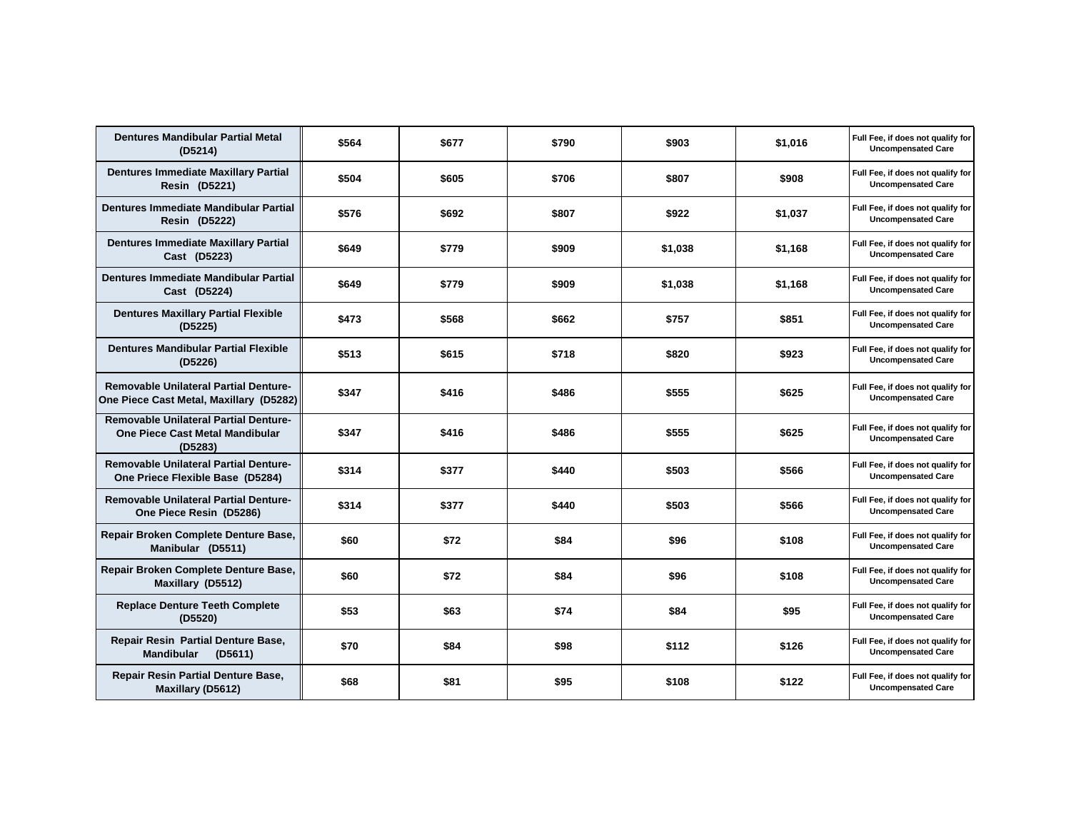| Dentures Mandibular Partial Metal<br>(D5214)                                                      | \$564 | \$677 | \$790 | \$903   | \$1,016 | Full Fee, if does not qualify for<br><b>Uncompensated Care</b> |
|---------------------------------------------------------------------------------------------------|-------|-------|-------|---------|---------|----------------------------------------------------------------|
| <b>Dentures Immediate Maxillary Partial</b><br><b>Resin (D5221)</b>                               | \$504 | \$605 | \$706 | \$807   | \$908   | Full Fee, if does not qualify for<br><b>Uncompensated Care</b> |
| Dentures Immediate Mandibular Partial<br><b>Resin (D5222)</b>                                     | \$576 | \$692 | \$807 | \$922   | \$1,037 | Full Fee, if does not qualify for<br><b>Uncompensated Care</b> |
| <b>Dentures Immediate Maxillary Partial</b><br>Cast (D5223)                                       | \$649 | \$779 | \$909 | \$1,038 | \$1.168 | Full Fee, if does not qualify for<br><b>Uncompensated Care</b> |
| Dentures Immediate Mandibular Partial<br>Cast (D5224)                                             | \$649 | \$779 | \$909 | \$1,038 | \$1,168 | Full Fee, if does not qualify for<br><b>Uncompensated Care</b> |
| <b>Dentures Maxillary Partial Flexible</b><br>(D5225)                                             | \$473 | \$568 | \$662 | \$757   | \$851   | Full Fee, if does not qualify for<br><b>Uncompensated Care</b> |
| <b>Dentures Mandibular Partial Flexible</b><br>(D5226)                                            | \$513 | \$615 | \$718 | \$820   | \$923   | Full Fee, if does not qualify for<br><b>Uncompensated Care</b> |
| <b>Removable Unilateral Partial Denture-</b><br>One Piece Cast Metal, Maxillary (D5282)           | \$347 | \$416 | \$486 | \$555   | \$625   | Full Fee, if does not qualify for<br><b>Uncompensated Care</b> |
| <b>Removable Unilateral Partial Denture-</b><br><b>One Piece Cast Metal Mandibular</b><br>(D5283) | \$347 | \$416 | \$486 | \$555   | \$625   | Full Fee, if does not qualify for<br><b>Uncompensated Care</b> |
| <b>Removable Unilateral Partial Denture-</b><br>One Priece Flexible Base (D5284)                  | \$314 | \$377 | \$440 | \$503   | \$566   | Full Fee, if does not qualify for<br><b>Uncompensated Care</b> |
| <b>Removable Unilateral Partial Denture-</b><br>One Piece Resin (D5286)                           | \$314 | \$377 | \$440 | \$503   | \$566   | Full Fee, if does not qualify for<br><b>Uncompensated Care</b> |
| Repair Broken Complete Denture Base,<br>Manibular (D5511)                                         | \$60  | \$72  | \$84  | \$96    | \$108   | Full Fee, if does not qualify for<br><b>Uncompensated Care</b> |
| Repair Broken Complete Denture Base,<br>Maxillary (D5512)                                         | \$60  | \$72  | \$84  | \$96    | \$108   | Full Fee, if does not qualify for<br><b>Uncompensated Care</b> |
| <b>Replace Denture Teeth Complete</b><br>(D5520)                                                  | \$53  | \$63  | \$74  | \$84    | \$95    | Full Fee, if does not qualify for<br><b>Uncompensated Care</b> |
| Repair Resin Partial Denture Base,<br><b>Mandibular</b><br>(D5611)                                | \$70  | \$84  | \$98  | \$112   | \$126   | Full Fee, if does not qualify for<br><b>Uncompensated Care</b> |
| <b>Repair Resin Partial Denture Base,</b><br>Maxillary (D5612)                                    | \$68  | \$81  | \$95  | \$108   | \$122   | Full Fee, if does not qualify for<br><b>Uncompensated Care</b> |